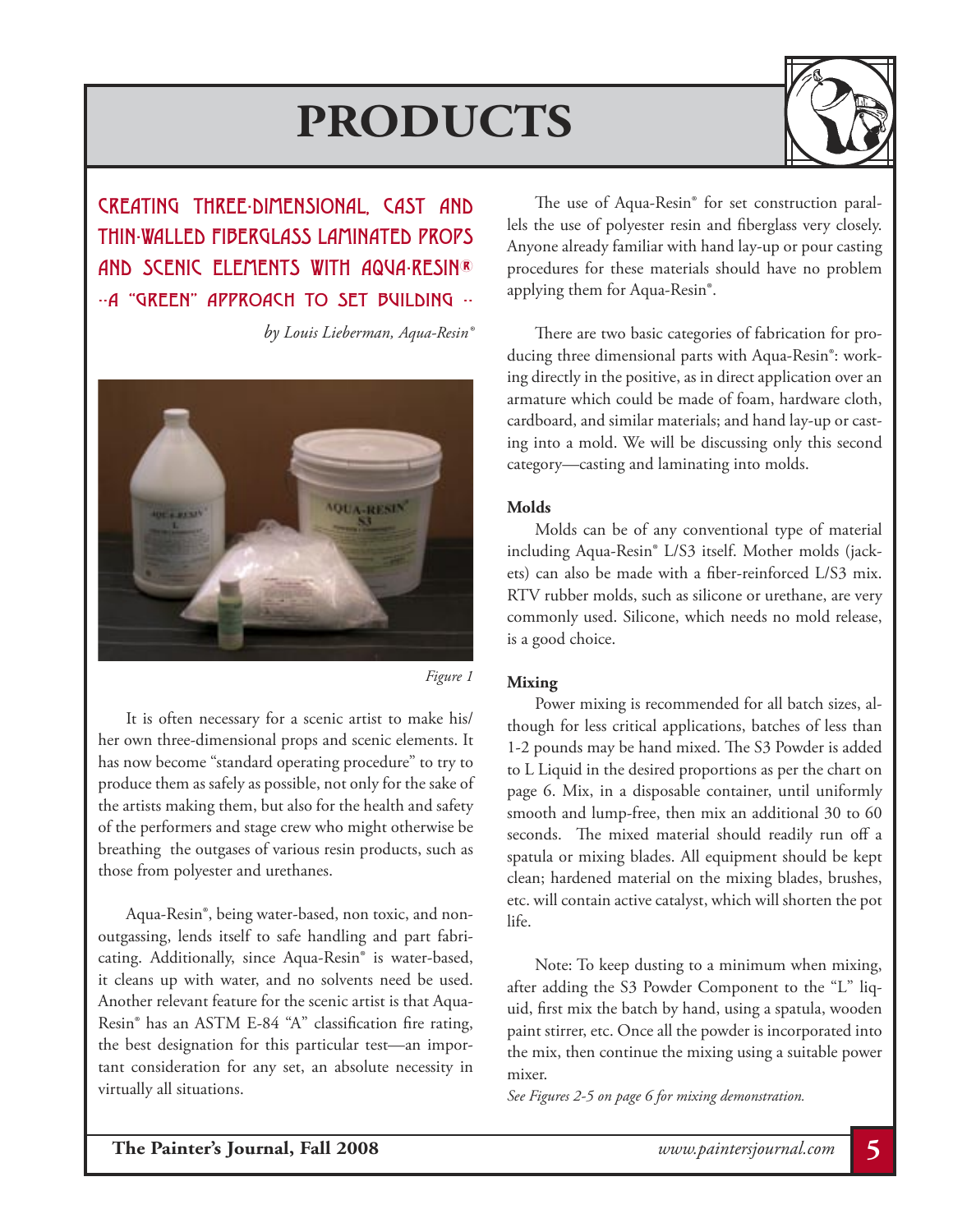

CREATING THREE-DIMENSIONAL, CAST AND THIN-WALLED FIBERGLASS LAMINATED PROPS AND SCENIC ELEMENTS WITH AQUA-RESIN®  $-$ A "GREEN" APPROACH TO SET BUILDING  $-$ 

*by Louis Lieberman, Aqua-Resin®*



*Figure 1*

It is often necessary for a scenic artist to make his/ her own three-dimensional props and scenic elements. It has now become "standard operating procedure" to try to produce them as safely as possible, not only for the sake of the artists making them, but also for the health and safety of the performers and stage crew who might otherwise be breathing the outgases of various resin products, such as those from polyester and urethanes.

 Aqua-Resin®, being water-based, non toxic, and nonoutgassing, lends itself to safe handling and part fabricating. Additionally, since Aqua-Resin® is water-based, it cleans up with water, and no solvents need be used. Another relevant feature for the scenic artist is that Aqua-Resin® has an ASTM E-84 "A" classification fire rating, the best designation for this particular test—an important consideration for any set, an absolute necessity in virtually all situations.

 The use of Aqua-Resin® for set construction parallels the use of polyester resin and fiberglass very closely. Anyone already familiar with hand lay-up or pour casting procedures for these materials should have no problem applying them for Aqua-Resin®.

 There are two basic categories of fabrication for producing three dimensional parts with Aqua-Resin®: working directly in the positive, as in direct application over an armature which could be made of foam, hardware cloth, cardboard, and similar materials; and hand lay-up or casting into a mold. We will be discussing only this second category—casting and laminating into molds.

# **Molds**

 Molds can be of any conventional type of material including Aqua-Resin® L/S3 itself. Mother molds (jackets) can also be made with a fiber-reinforced L/S3 mix. RTV rubber molds, such as silicone or urethane, are very commonly used. Silicone, which needs no mold release, is a good choice.

## **Mixing**

 Power mixing is recommended for all batch sizes, although for less critical applications, batches of less than 1-2 pounds may be hand mixed. The S3 Powder is added to L Liquid in the desired proportions as per the chart on page 6. Mix, in a disposable container, until uniformly smooth and lump-free, then mix an additional 30 to 60 seconds. The mixed material should readily run off a spatula or mixing blades. All equipment should be kept clean; hardened material on the mixing blades, brushes, etc. will contain active catalyst, which will shorten the pot life.

 Note: To keep dusting to a minimum when mixing, after adding the S3 Powder Component to the "L" liquid, first mix the batch by hand, using a spatula, wooden paint stirrer, etc. Once all the powder is incorporated into the mix, then continue the mixing using a suitable power mixer.

*See Figures 2-5 on page 6 for mixing demonstration.*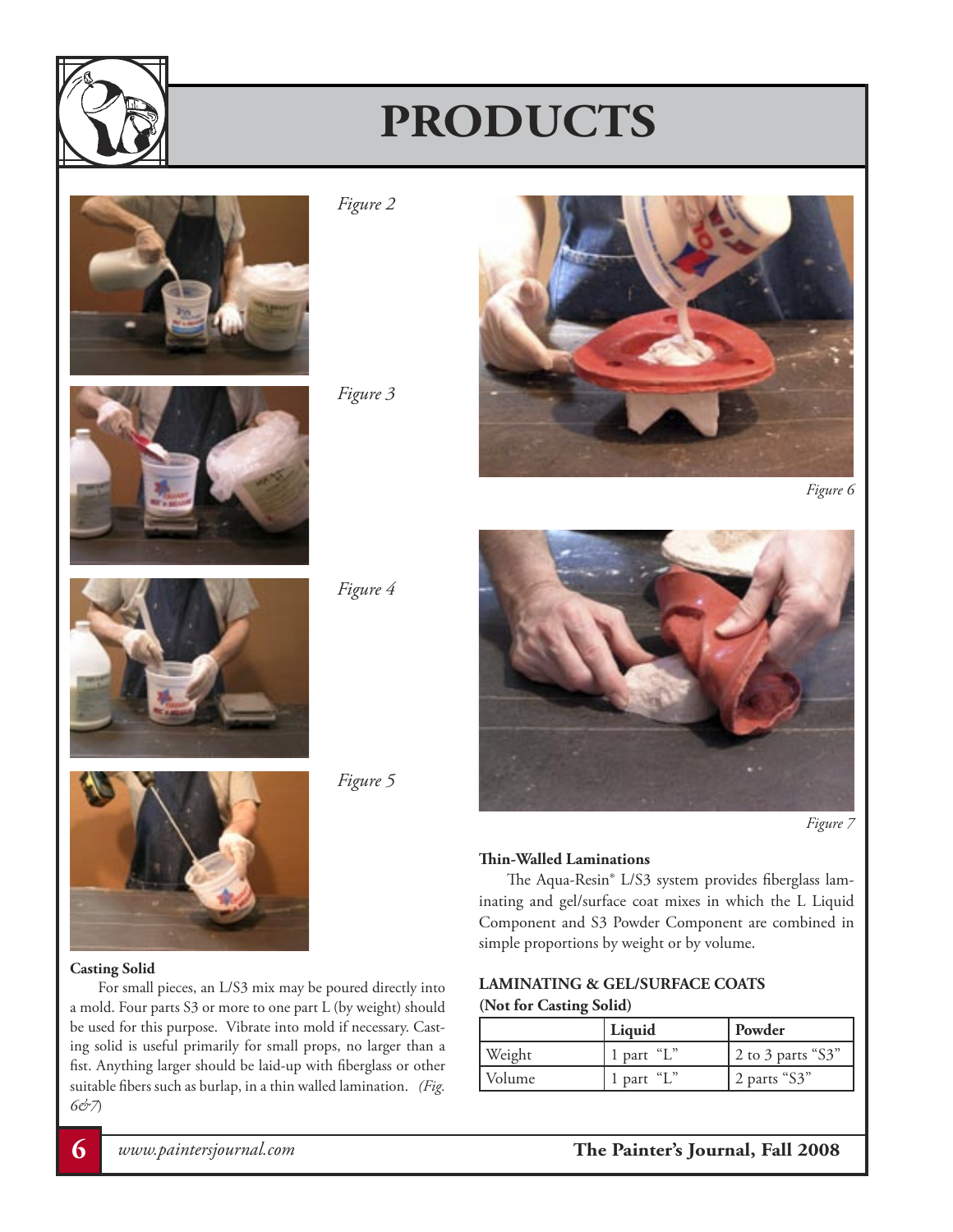





*Figure 2*





*Figure 6*



*Figure 4*

*Figure 5*



*Figure 7*

### **Thin-Walled Laminations**

 The Aqua-Resin® L/S3 system provides fiberglass laminating and gel/surface coat mixes in which the L Liquid Component and S3 Powder Component are combined in simple proportions by weight or by volume.

## **LAMINATING & GEL/SURFACE COATS (Not for Casting Solid)**

|        | Liquid    | Powder            |
|--------|-----------|-------------------|
| Weight | `part "L" | 2 to 3 parts "S3" |
| Volume | part "L"  | 2 parts "S3"      |

# **Casting Solid**

 For small pieces, an L/S3 mix may be poured directly into a mold. Four parts S3 or more to one part L (by weight) should be used for this purpose. Vibrate into mold if necessary. Casting solid is useful primarily for small props, no larger than a fist. Anything larger should be laid-up with fiberglass or other suitable fibers such as burlap, in a thin walled lamination. *(Fig. 6&7*)

**6** *www.paintersjournal.com* **The Painter's Journal, Fall 2008**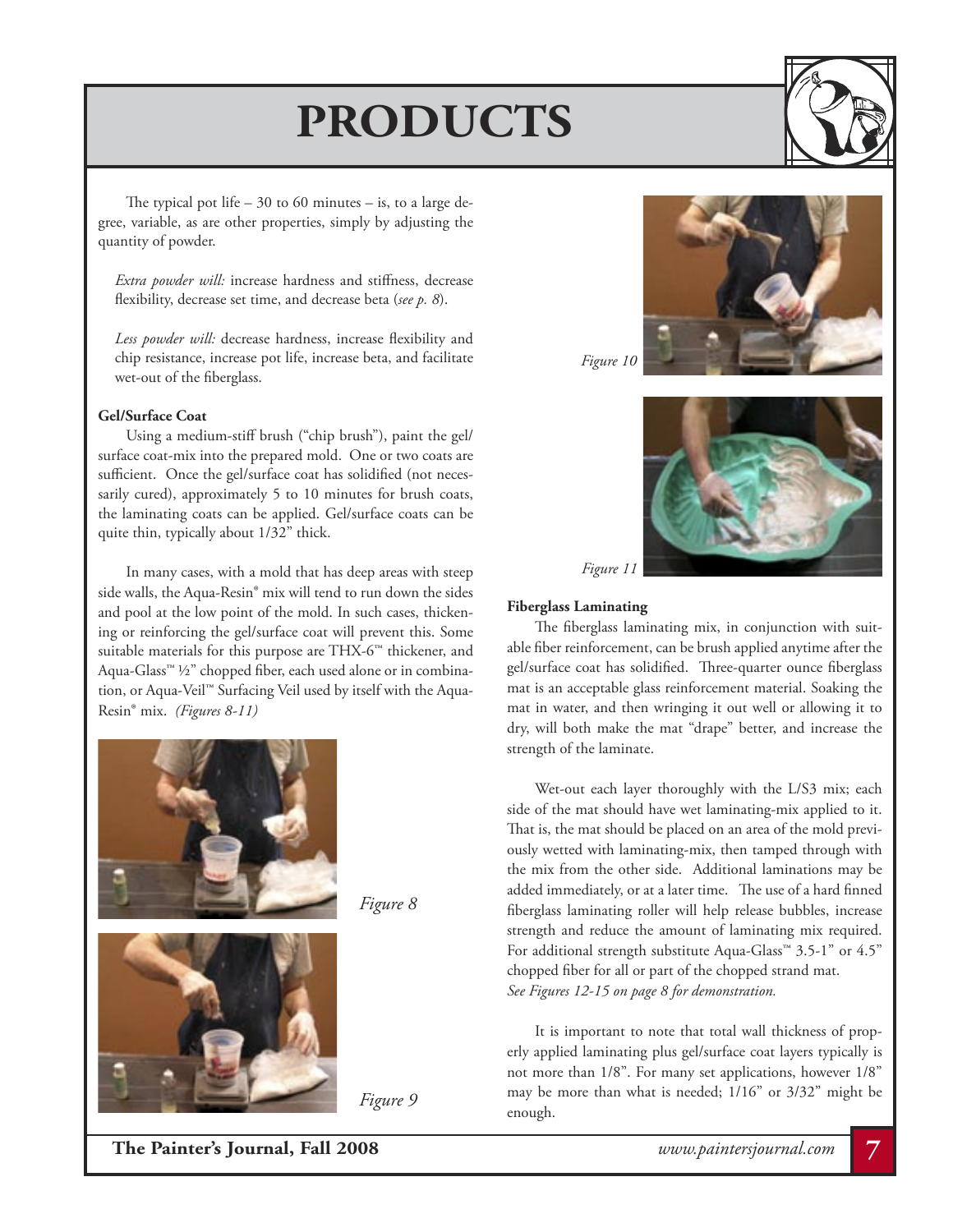The typical pot life  $-30$  to 60 minutes  $-$  is, to a large degree, variable, as are other properties, simply by adjusting the quantity of powder.

*Extra powder will:* increase hardness and stiffness, decrease flexibility, decrease set time, and decrease beta (*see p. 8*).

*Less powder will:* decrease hardness, increase flexibility and chip resistance, increase pot life, increase beta, and facilitate wet-out of the fiberglass.

#### **Gel/Surface Coat**

 Using a medium-stiff brush ("chip brush"), paint the gel/ surface coat-mix into the prepared mold. One or two coats are sufficient. Once the gel/surface coat has solidified (not necessarily cured), approximately 5 to 10 minutes for brush coats, the laminating coats can be applied. Gel/surface coats can be quite thin, typically about 1/32" thick.

 In many cases, with a mold that has deep areas with steep side walls, the Aqua-Resin® mix will tend to run down the sides and pool at the low point of the mold. In such cases, thickening or reinforcing the gel/surface coat will prevent this. Some suitable materials for this purpose are THX-6™ thickener, and Aqua-Glass™ ½" chopped fiber, each used alone or in combination, or Aqua-Veil™ Surfacing Veil used by itself with the Aqua-Resin® mix. *(Figures 8-11)*



*Figure 8*

*Figure 9*





#### **Fiberglass Laminating**

*Figure 11*

 The fiberglass laminating mix, in conjunction with suitable fiber reinforcement, can be brush applied anytime after the gel/surface coat has solidified. Three-quarter ounce fiberglass mat is an acceptable glass reinforcement material. Soaking the mat in water, and then wringing it out well or allowing it to dry, will both make the mat "drape" better, and increase the strength of the laminate.

Wet-out each layer thoroughly with the L/S3 mix; each side of the mat should have wet laminating-mix applied to it. That is, the mat should be placed on an area of the mold previously wetted with laminating-mix, then tamped through with the mix from the other side. Additional laminations may be added immediately, or at a later time. The use of a hard finned fiberglass laminating roller will help release bubbles, increase strength and reduce the amount of laminating mix required. For additional strength substitute Aqua-Glass™ 3.5-1" or 4.5" chopped fiber for all or part of the chopped strand mat. *See Figures 12-15 on page 8 for demonstration.*

 It is important to note that total wall thickness of properly applied laminating plus gel/surface coat layers typically is not more than 1/8". For many set applications, however 1/8" may be more than what is needed; 1/16" or 3/32" might be enough.

**The Painter's Journal, Fall 2008** *www.paintersjournal.com* **7**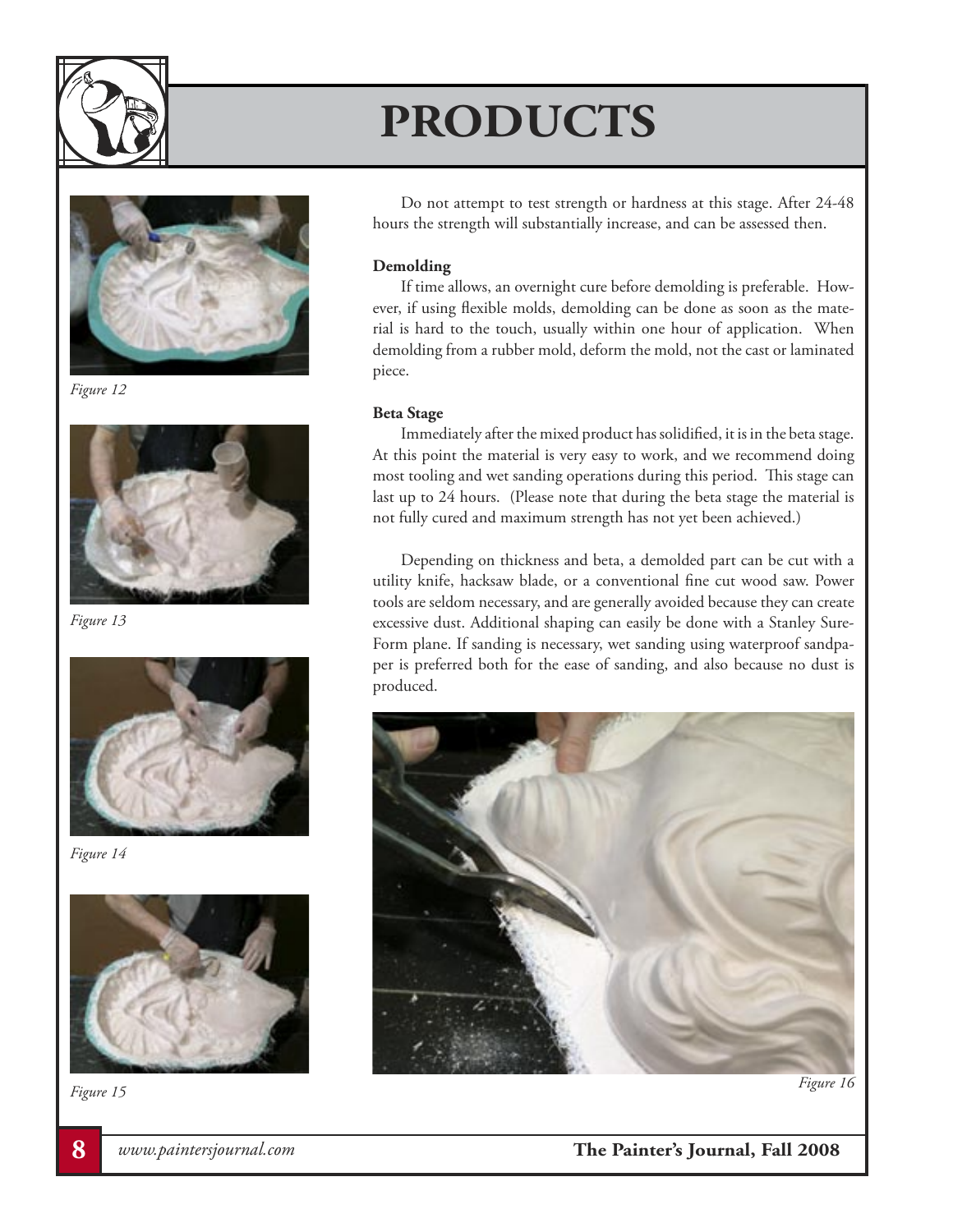



*Figure 12*



*Figure 13*



*Figure 14*



*Figure 15 Figure 16*

Do not attempt to test strength or hardness at this stage. After 24-48 hours the strength will substantially increase, and can be assessed then.

### **Demolding**

 If time allows, an overnight cure before demolding is preferable. However, if using flexible molds, demolding can be done as soon as the material is hard to the touch, usually within one hour of application. When demolding from a rubber mold, deform the mold, not the cast or laminated piece.

### **Beta Stage**

 Immediately after the mixed product has solidified, it is in the beta stage. At this point the material is very easy to work, and we recommend doing most tooling and wet sanding operations during this period. This stage can last up to 24 hours. (Please note that during the beta stage the material is not fully cured and maximum strength has not yet been achieved.)

 Depending on thickness and beta, a demolded part can be cut with a utility knife, hacksaw blade, or a conventional fine cut wood saw. Power tools are seldom necessary, and are generally avoided because they can create excessive dust. Additional shaping can easily be done with a Stanley Sure-Form plane. If sanding is necessary, wet sanding using waterproof sandpaper is preferred both for the ease of sanding, and also because no dust is produced.